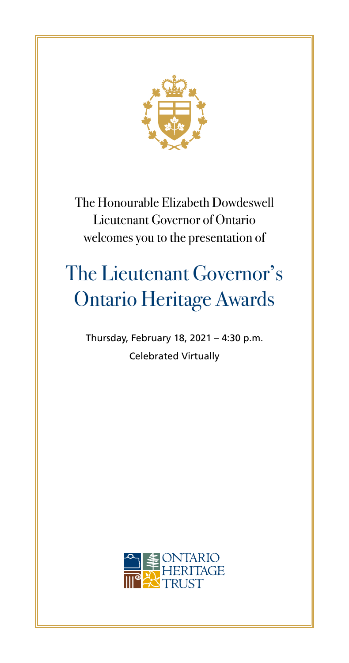

The Honourable Elizabeth Dowdeswell Lieutenant Governor of Ontario welcomes you to the presentation of

# The Lieutenant Governor's Ontario Heritage Awards

Thursday, February 18, 2021 – 4:30 p.m. Celebrated Virtually

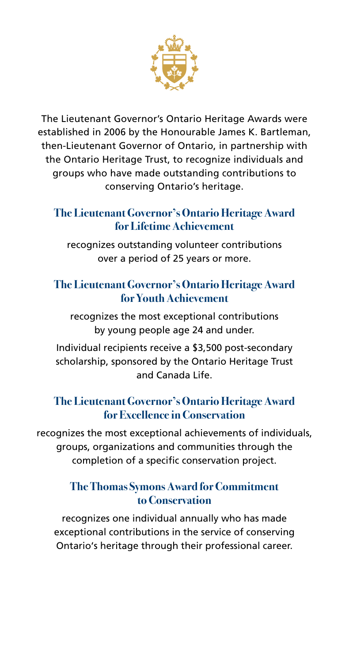

The Lieutenant Governor's Ontario Heritage Awards were established in 2006 by the Honourable James K. Bartleman, then-Lieutenant Governor of Ontario, in partnership with the Ontario Heritage Trust, to recognize individuals and groups who have made outstanding contributions to conserving Ontario's heritage.

#### **The Lieutenant Governor's Ontario Heritage Award for Lifetime Achievement**

recognizes outstanding volunteer contributions over a period of 25 years or more.

## **The Lieutenant Governor's Ontario Heritage Award for Youth Achievement**

recognizes the most exceptional contributions by young people age 24 and under.

Individual recipients receive a \$3,500 post-secondary scholarship, sponsored by the Ontario Heritage Trust and Canada Life.

#### **The Lieutenant Governor's Ontario Heritage Award for Excellence in Conservation**

recognizes the most exceptional achievements of individuals, groups, organizations and communities through the completion of a specific conservation project.

#### **The Thomas Symons Award for Commitment to Conservation**

recognizes one individual annually who has made exceptional contributions in the service of conserving Ontario's heritage through their professional career.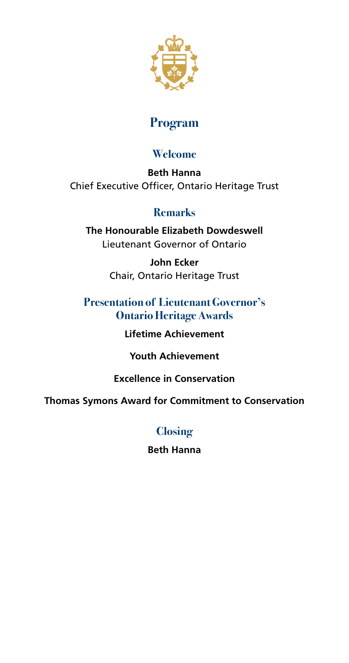

## **Program**

#### **Welcome**

**Beth Hanna** Chief Executive Officer, Ontario Heritage Trust

## **Remarks**

**The Honourable Elizabeth Dowdeswell** Lieutenant Governor of Ontario

> **John Ecker** Chair, Ontario Heritage Trust

## **Presentation of Lieutenant Governor's Ontario Heritage Awards**

**Lifetime Achievement**

**Youth Achievement**

**Excellence in Conservation**

**Thomas Symons Award for Commitment to Conservation**

## **Closing**

**Beth Hanna**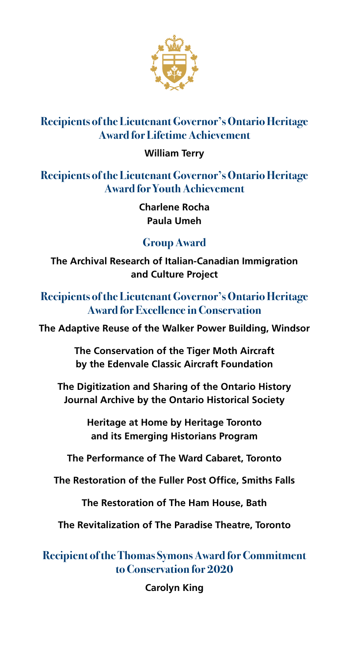

## **Recipients of the Lieutenant Governor's Ontario Heritage Award for Lifetime Achievement**

#### **William Terry**

**Recipients of the Lieutenant Governor's Ontario Heritage Award for Youth Achievement**

> **Charlene Rocha Paula Umeh**

## **Group Award**

**The Archival Research of Italian-Canadian Immigration and Culture Project** 

**Recipients of the Lieutenant Governor's Ontario Heritage Award for Excellence in Conservation**

**The Adaptive Reuse of the Walker Power Building, Windsor**

**The Conservation of the Tiger Moth Aircraft by the Edenvale Classic Aircraft Foundation**

**The Digitization and Sharing of the Ontario History Journal Archive by the Ontario Historical Society**

> **Heritage at Home by Heritage Toronto and its Emerging Historians Program**

**The Performance of The Ward Cabaret, Toronto**

**The Restoration of the Fuller Post Office, Smiths Falls**

**The Restoration of The Ham House, Bath**

**The Revitalization of The Paradise Theatre, Toronto**

**Recipient of the Thomas Symons Award for Commitment to Conservation for 2020**

**Carolyn King**